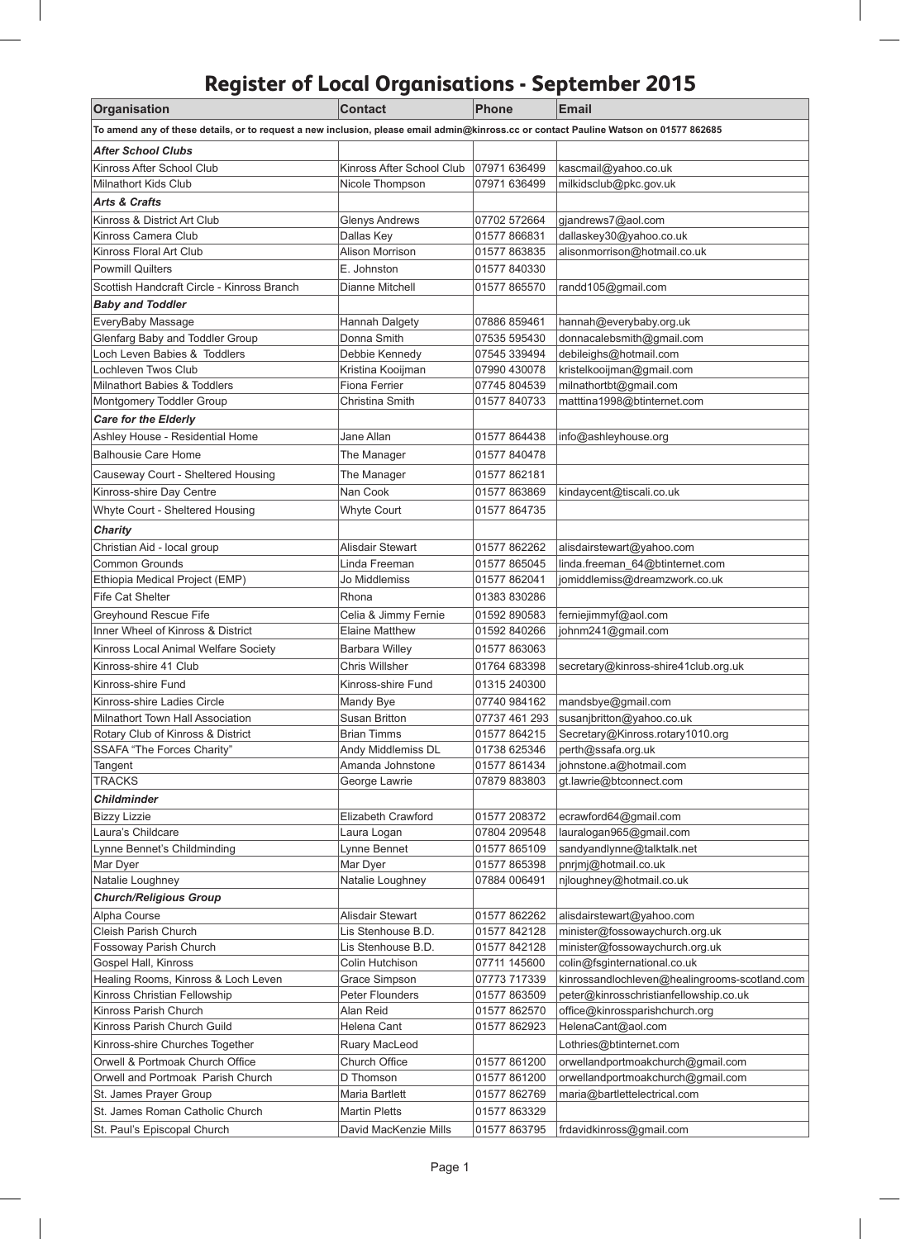## **Register of Local Organisations - September 2015**

 $\overline{\phantom{a}}$ 

 $\overline{\phantom{a}}$ 

| Organisation                                                                                                                          | <b>Contact</b>                    | <b>Phone</b>                 | <b>Email</b>                                          |
|---------------------------------------------------------------------------------------------------------------------------------------|-----------------------------------|------------------------------|-------------------------------------------------------|
| To amend any of these details, or to request a new inclusion, please email admin@kinross.cc or contact Pauline Watson on 01577 862685 |                                   |                              |                                                       |
| <b>After School Clubs</b>                                                                                                             |                                   |                              |                                                       |
| Kinross After School Club                                                                                                             | Kinross After School Club         | 07971 636499                 | kascmail@yahoo.co.uk                                  |
| <b>Milnathort Kids Club</b>                                                                                                           | Nicole Thompson                   | 07971 636499                 | milkidsclub@pkc.gov.uk                                |
| <b>Arts &amp; Crafts</b>                                                                                                              |                                   |                              |                                                       |
| Kinross & District Art Club                                                                                                           | <b>Glenys Andrews</b>             | 07702 572664                 | gjandrews7@aol.com                                    |
| Kinross Camera Club                                                                                                                   | Dallas Key                        | 01577 866831                 | dallaskey30@yahoo.co.uk                               |
| Kinross Floral Art Club                                                                                                               | Alison Morrison                   | 01577 863835                 | alisonmorrison@hotmail.co.uk                          |
| <b>Powmill Quilters</b>                                                                                                               | E. Johnston                       | 01577 840330                 |                                                       |
| Scottish Handcraft Circle - Kinross Branch                                                                                            | Dianne Mitchell                   | 01577 865570                 | randd105@gmail.com                                    |
| <b>Baby and Toddler</b>                                                                                                               |                                   |                              |                                                       |
| EveryBaby Massage                                                                                                                     | <b>Hannah Dalgety</b>             | 07886 859461                 | hannah@everybaby.org.uk                               |
| Glenfarg Baby and Toddler Group                                                                                                       | Donna Smith                       | 07535 595430                 | donnacalebsmith@gmail.com                             |
| Loch Leven Babies & Toddlers                                                                                                          | Debbie Kennedy                    | 07545 339494                 | debileighs@hotmail.com                                |
| Lochleven Twos Club                                                                                                                   | Kristina Kooijman                 | 07990 430078                 | kristelkooijman@gmail.com                             |
| Milnathort Babies & Toddlers                                                                                                          | Fiona Ferrier                     | 07745 804539                 | milnathortbt@gmail.com                                |
| Montgomery Toddler Group                                                                                                              | Christina Smith                   | 01577 840733                 | matttina1998@btinternet.com                           |
| <b>Care for the Elderly</b>                                                                                                           |                                   |                              |                                                       |
| Ashley House - Residential Home                                                                                                       | Jane Allan                        | 01577 864438                 | info@ashleyhouse.org                                  |
| <b>Balhousie Care Home</b>                                                                                                            | The Manager                       | 01577 840478                 |                                                       |
| Causeway Court - Sheltered Housing                                                                                                    | The Manager                       | 01577 862181                 |                                                       |
| Kinross-shire Day Centre                                                                                                              | Nan Cook                          | 01577863869                  | kindaycent@tiscali.co.uk                              |
|                                                                                                                                       |                                   |                              |                                                       |
| Whyte Court - Sheltered Housing                                                                                                       | Whyte Court                       | 01577 864735                 |                                                       |
| <b>Charity</b>                                                                                                                        |                                   |                              |                                                       |
| Christian Aid - local group                                                                                                           | Alisdair Stewart                  | 01577 862262                 | alisdairstewart@yahoo.com                             |
| <b>Common Grounds</b>                                                                                                                 | Linda Freeman                     | 01577 865045                 | linda.freeman_64@btinternet.com                       |
| Ethiopia Medical Project (EMP)                                                                                                        | Jo Middlemiss                     | 01577 862041                 | jomiddlemiss@dreamzwork.co.uk                         |
| <b>Fife Cat Shelter</b>                                                                                                               | Rhona                             | 01383 830286                 |                                                       |
| <b>Greyhound Rescue Fife</b>                                                                                                          | Celia & Jimmy Fernie              | 01592 890583                 | ferniejimmyf@aol.com                                  |
| Inner Wheel of Kinross & District                                                                                                     | <b>Elaine Matthew</b>             | 01592 840266                 | johnm241@gmail.com                                    |
| Kinross Local Animal Welfare Society                                                                                                  | <b>Barbara Willey</b>             | 01577 863063                 |                                                       |
| Kinross-shire 41 Club                                                                                                                 | <b>Chris Willsher</b>             | 01764 683398                 | secretary@kinross-shire41club.org.uk                  |
| Kinross-shire Fund                                                                                                                    | Kinross-shire Fund                | 01315 240300                 |                                                       |
| Kinross-shire Ladies Circle                                                                                                           | Mandy Bye                         | 07740 984162                 | mandsbye@gmail.com                                    |
| Milnathort Town Hall Association                                                                                                      | Susan Britton                     |                              | 07737 461 293  susanjbritton@yahoo.co.uk              |
| Rotary Club of Kinross & District                                                                                                     | <b>Brian Timms</b>                | 01577 864215                 | Secretary@Kinross.rotary1010.org                      |
| SSAFA "The Forces Charity"                                                                                                            | Andy Middlemiss DL                | 01738 625346                 | perth@ssafa.org.uk                                    |
| Tangent<br><b>TRACKS</b>                                                                                                              | Amanda Johnstone<br>George Lawrie | 01577 861434<br>07879 883803 | johnstone.a@hotmail.com<br>gt.lawrie@btconnect.com    |
|                                                                                                                                       |                                   |                              |                                                       |
| <b>Childminder</b>                                                                                                                    |                                   |                              |                                                       |
| <b>Bizzy Lizzie</b><br>Laura's Childcare                                                                                              | Elizabeth Crawford                | 01577 208372<br>07804 209548 | ecrawford64@gmail.com                                 |
| Lynne Bennet's Childminding                                                                                                           | Laura Logan<br>Lynne Bennet       | 01577 865109                 | lauralogan965@gmail.com<br>sandyandlynne@talktalk.net |
| Mar Dyer                                                                                                                              | Mar Dyer                          | 01577 865398                 | pnrjmj@hotmail.co.uk                                  |
| Natalie Loughney                                                                                                                      | Natalie Loughney                  | 07884 006491                 | njloughney@hotmail.co.uk                              |
| <b>Church/Religious Group</b>                                                                                                         |                                   |                              |                                                       |
| Alpha Course                                                                                                                          | Alisdair Stewart                  | 01577 862262                 | alisdairstewart@yahoo.com                             |
| Cleish Parish Church                                                                                                                  | Lis Stenhouse B.D.                | 01577 842128                 | minister@fossowaychurch.org.uk                        |
| Fossoway Parish Church                                                                                                                | Lis Stenhouse B.D.                | 01577 842128                 | minister@fossowaychurch.org.uk                        |
| Gospel Hall, Kinross                                                                                                                  | Colin Hutchison                   | 07711 145600                 | colin@fsginternational.co.uk                          |
| Healing Rooms, Kinross & Loch Leven                                                                                                   | Grace Simpson                     | 07773 717339                 | kinrossandlochleven@healingrooms-scotland.com         |
| Kinross Christian Fellowship                                                                                                          | Peter Flounders                   | 01577 863509                 | peter@kinrosschristianfellowship.co.uk                |
| Kinross Parish Church                                                                                                                 | Alan Reid                         | 01577 862570                 | office@kinrossparishchurch.org                        |
| Kinross Parish Church Guild                                                                                                           | Helena Cant                       | 01577 862923                 | HelenaCant@aol.com                                    |
| Kinross-shire Churches Together                                                                                                       | Ruary MacLeod                     |                              | Lothries@btinternet.com                               |
| Orwell & Portmoak Church Office                                                                                                       | Church Office                     | 01577 861200                 | orwellandportmoakchurch@gmail.com                     |
| Orwell and Portmoak Parish Church                                                                                                     | D Thomson                         | 01577 861200                 | orwellandportmoakchurch@gmail.com                     |
| St. James Prayer Group                                                                                                                | Maria Bartlett                    | 01577 862769                 | maria@bartlettelectrical.com                          |
| St. James Roman Catholic Church                                                                                                       | <b>Martin Pletts</b>              | 01577 863329                 |                                                       |
| St. Paul's Episcopal Church                                                                                                           | David MacKenzie Mills             | 01577 863795                 | frdavidkinross@gmail.com                              |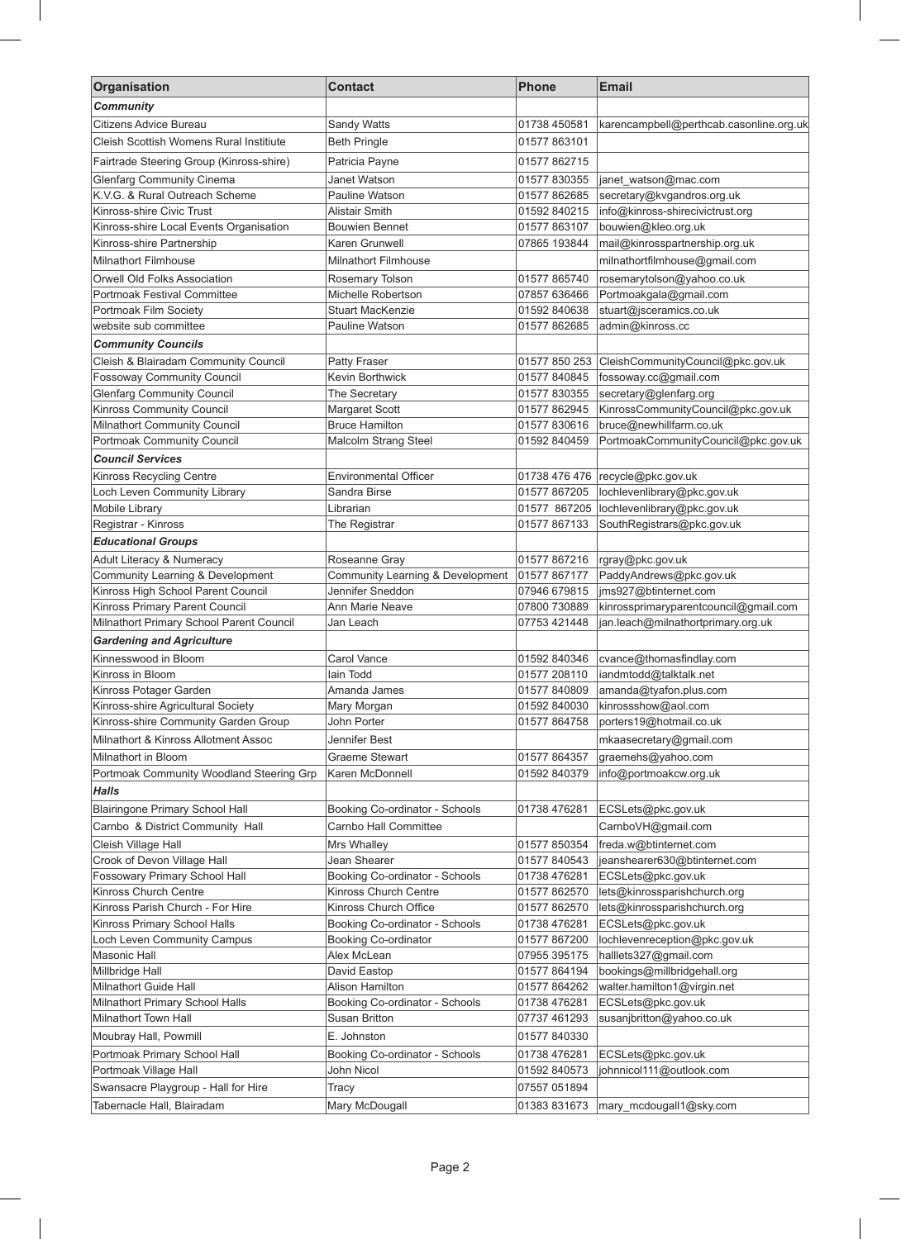| Organisation                                                         | <b>Contact</b>                      | Phone                        | <b>Email</b>                                                   |
|----------------------------------------------------------------------|-------------------------------------|------------------------------|----------------------------------------------------------------|
| <b>Community</b>                                                     |                                     |                              |                                                                |
| Citizens Advice Bureau                                               | Sandy Watts                         | 01738 450581                 | karencampbell@perthcab.casonline.org.uk                        |
| Cleish Scottish Womens Rural Institiute                              | <b>Beth Pringle</b>                 | 01577863101                  |                                                                |
| Fairtrade Steering Group (Kinross-shire)                             | Patricia Payne                      | 01577 862715                 |                                                                |
| <b>Glenfarg Community Cinema</b>                                     | Janet Watson                        | 01577 830355                 | janet_watson@mac.com                                           |
| K.V.G. & Rural Outreach Scheme                                       | Pauline Watson                      | 01577 862685                 | secretary@kvgandros.org.uk                                     |
| Kinross-shire Civic Trust                                            | <b>Alistair Smith</b>               | 01592 840215                 | info@kinross-shirecivictrust.org                               |
| Kinross-shire Local Events Organisation                              | <b>Bouwien Bennet</b>               | 01577 863107                 | bouwien@kleo.org.uk                                            |
| Kinross-shire Partnership                                            | Karen Grunwell                      | 07865 193844                 | mail@kinrosspartnership.org.uk                                 |
| Milnathort Filmhouse                                                 | <b>Milnathort Filmhouse</b>         |                              | milnathortfilmhouse@gmail.com                                  |
| Orwell Old Folks Association                                         | Rosemary Tolson                     | 01577 865740                 | rosemarytolson@yahoo.co.uk                                     |
| <b>Portmoak Festival Committee</b>                                   | Michelle Robertson                  | 07857 636466                 | Portmoakgala@gmail.com                                         |
| Portmoak Film Society                                                | Stuart MacKenzie                    | 01592 840638                 | stuart@jsceramics.co.uk                                        |
| website sub committee                                                | Pauline Watson                      | 01577 862685                 | admin@kinross.cc                                               |
| <b>Community Councils</b>                                            |                                     |                              |                                                                |
| Cleish & Blairadam Community Council                                 | <b>Patty Fraser</b>                 | 01577 850 253                | CleishCommunityCouncil@pkc.gov.uk                              |
| <b>Fossoway Community Council</b>                                    | Kevin Borthwick                     | 01577 840845                 | fossoway.cc@gmail.com                                          |
| <b>Glenfarg Community Council</b>                                    | The Secretary                       | 01577 830355                 | secretary@glenfarg.org                                         |
| Kinross Community Council                                            | Margaret Scott                      | 01577 862945                 | KinrossCommunityCouncil@pkc.gov.uk                             |
| Milnathort Community Council                                         | <b>Bruce Hamilton</b>               | 01577 830616                 | bruce@newhillfarm.co.uk                                        |
| Portmoak Community Council                                           | Malcolm Strang Steel                | 01592 840459                 | PortmoakCommunityCouncil@pkc.gov.uk                            |
| <b>Council Services</b>                                              |                                     |                              |                                                                |
| Kinross Recycling Centre                                             | <b>Environmental Officer</b>        | 01738 476 476                | recycle@pkc.gov.uk                                             |
| Loch Leven Community Library                                         | Sandra Birse                        | 01577 867205                 | lochlevenlibrary@pkc.gov.uk                                    |
| Mobile Library                                                       | Librarian                           | 01577 867205                 | lochlevenlibrary@pkc.gov.uk                                    |
| Registrar - Kinross                                                  | The Registrar                       | 01577 867133                 | SouthRegistrars@pkc.gov.uk                                     |
| <b>Educational Groups</b>                                            |                                     |                              |                                                                |
| Adult Literacy & Numeracy                                            | Roseanne Gray                       | 01577 867216                 | rgray@pkc.gov.uk                                               |
| Community Learning & Development                                     | Community Learning & Development    | 01577 867177                 | PaddyAndrews@pkc.gov.uk                                        |
| Kinross High School Parent Council<br>Kinross Primary Parent Council | Jennifer Sneddon<br>Ann Marie Neave | 07946 679815<br>07800 730889 | ims927@btinternet.com<br>kinrossprimaryparentcouncil@gmail.com |
| Milnathort Primary School Parent Council                             | Jan Leach                           | 07753 421448                 | jan.leach@milnathortprimary.org.uk                             |
| <b>Gardening and Agriculture</b>                                     |                                     |                              |                                                                |
| Kinnesswood in Bloom                                                 | Carol Vance                         | 01592 840346                 | cvance@thomasfindlay.com                                       |
| Kinross in Bloom                                                     | lain Todd                           | 01577 208110                 |                                                                |
| Kinross Potager Garden                                               | Amanda James                        | 01577 840809                 | iandmtodd@talktalk.net<br>amanda@tyafon.plus.com               |
| Kinross-shire Agricultural Society                                   | Mary Morgan                         | 01592 840030                 | kinrossshow@aol.com                                            |
| Kinross-shire Community Garden Group                                 | John Porter                         | 01577 864758                 | porters19@hotmail.co.uk                                        |
| Milnathort & Kinross Allotment Assoc                                 | Jennifer Best                       |                              | mkaasecretary@gmail.com                                        |
| Milnathort in Bloom                                                  | Graeme Stewart                      | 01577 864357                 | graemehs@yahoo.com                                             |
| Portmoak Community Woodland Steering Grp                             | Karen McDonnell                     | 01592 840379                 | info@portmoakcw.org.uk                                         |
| <b>Halls</b>                                                         |                                     |                              |                                                                |
| Blairingone Primary School Hall                                      | Booking Co-ordinator - Schools      | 01738 476281                 | ECSLets@pkc.gov.uk                                             |
| Carnbo & District Community Hall                                     | Carnbo Hall Committee               |                              | CarnboVH@gmail.com                                             |
| Cleish Village Hall                                                  | Mrs Whalley                         | 01577 850354                 | freda.w@btinternet.com                                         |
| Crook of Devon Village Hall                                          | Jean Shearer                        | 01577 840543                 | jeanshearer630@btinternet.com                                  |
| Fossowary Primary School Hall                                        | Booking Co-ordinator - Schools      | 01738 476281                 | ECSLets@pkc.gov.uk                                             |
| Kinross Church Centre                                                | Kinross Church Centre               | 01577 862570                 | lets@kinrossparishchurch.org                                   |
| Kinross Parish Church - For Hire                                     | Kinross Church Office               | 01577 862570                 | lets@kinrossparishchurch.org                                   |
| Kinross Primary School Halls                                         | Booking Co-ordinator - Schools      | 01738 476281                 | ECSLets@pkc.gov.uk                                             |
| Loch Leven Community Campus                                          | Booking Co-ordinator                | 01577 867200                 | lochlevenreception@pkc.gov.uk                                  |
| Masonic Hall                                                         | Alex McLean                         | 07955 395175                 | halllets327@gmail.com                                          |
| Millbridge Hall                                                      | David Eastop                        | 01577 864194                 | bookings@millbridgehall.org                                    |
| Milnathort Guide Hall                                                | Alison Hamilton                     | 01577 864262                 | walter.hamilton1@virgin.net                                    |
| Milnathort Primary School Halls                                      | Booking Co-ordinator - Schools      | 01738 476281                 | ECSLets@pkc.gov.uk                                             |
| Milnathort Town Hall                                                 | Susan Britton                       | 07737 461293                 | susanjbritton@yahoo.co.uk                                      |
| Moubray Hall, Powmill                                                | E. Johnston                         | 01577 840330                 |                                                                |
| Portmoak Primary School Hall                                         | Booking Co-ordinator - Schools      | 01738 476281                 | ECSLets@pkc.gov.uk                                             |
| Portmoak Village Hall                                                | John Nicol                          | 01592 840573                 | johnnicol111@outlook.com                                       |
| Swansacre Playgroup - Hall for Hire                                  | Tracy                               | 07557 051894                 |                                                                |
| Tabernacle Hall, Blairadam                                           | Mary McDougall                      | 01383831673                  | mary_mcdougall1@sky.com                                        |

 $\overline{\phantom{a}}$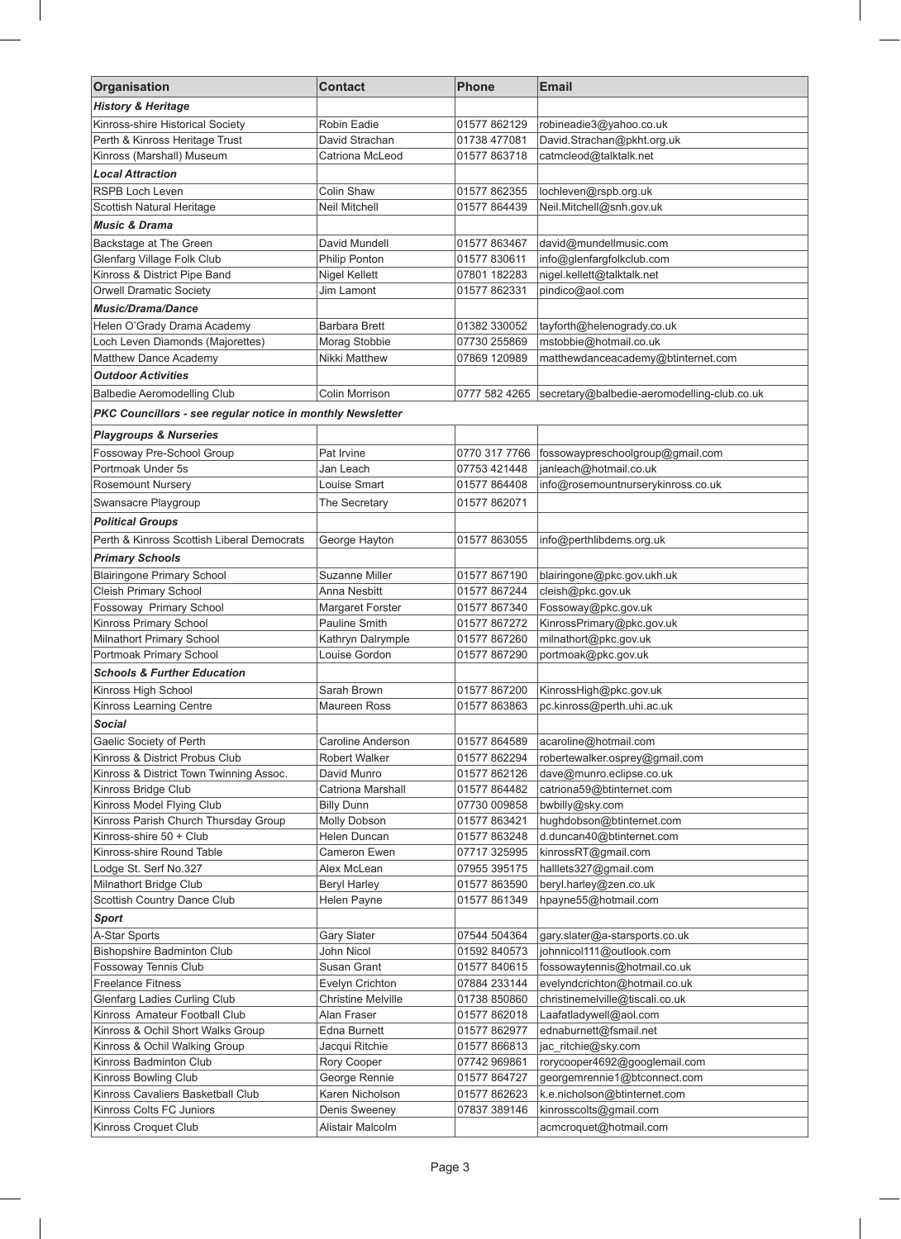| Organisation                                               | <b>Contact</b>                               | Phone                        | <b>Email</b>                                                     |  |
|------------------------------------------------------------|----------------------------------------------|------------------------------|------------------------------------------------------------------|--|
| <b>History &amp; Heritage</b>                              |                                              |                              |                                                                  |  |
| Kinross-shire Historical Society                           | Robin Eadie                                  | 01577 862129                 | robineadie3@yahoo.co.uk                                          |  |
| Perth & Kinross Heritage Trust                             | David Strachan                               | 01738 477081                 | David.Strachan@pkht.org.uk                                       |  |
| Kinross (Marshall) Museum                                  | Catriona McLeod                              | 01577 863718                 | catmcleod@talktalk.net                                           |  |
| <b>Local Attraction</b>                                    |                                              |                              |                                                                  |  |
| RSPB Loch Leven                                            | Colin Shaw                                   | 01577 862355                 | lochleven@rspb.org.uk                                            |  |
| Scottish Natural Heritage                                  | <b>Neil Mitchell</b>                         | 01577 864439                 | Neil.Mitchell@snh.gov.uk                                         |  |
| Music & Drama                                              |                                              |                              |                                                                  |  |
| Backstage at The Green                                     | David Mundell                                | 01577 863467                 | david@mundellmusic.com                                           |  |
| Glenfarg Village Folk Club                                 | Philip Ponton                                | 01577 830611                 | info@glenfargfolkclub.com                                        |  |
| Kinross & District Pipe Band                               | Nigel Kellett                                | 07801 182283                 | nigel.kellett@talktalk.net                                       |  |
| Orwell Dramatic Society                                    | Jim Lamont                                   | 01577 862331                 | pindico@aol.com                                                  |  |
| <b>Music/Drama/Dance</b>                                   |                                              |                              |                                                                  |  |
| Helen O'Grady Drama Academy                                | <b>Barbara Brett</b>                         | 01382 330052                 | tayforth@helenogrady.co.uk                                       |  |
| Loch Leven Diamonds (Majorettes)                           | Morag Stobbie                                | 07730 255869                 | mstobbie@hotmail.co.uk                                           |  |
| Matthew Dance Academy                                      | <b>Nikki Matthew</b>                         | 07869 120989                 | matthewdanceacademy@btinternet.com                               |  |
| <b>Outdoor Activities</b>                                  |                                              |                              |                                                                  |  |
| <b>Balbedie Aeromodelling Club</b>                         | Colin Morrison                               | 0777 582 4265                | secretary@balbedie-aeromodelling-club.co.uk                      |  |
| PKC Councillors - see regular notice in monthly Newsletter |                                              |                              |                                                                  |  |
|                                                            |                                              |                              |                                                                  |  |
| <b>Playgroups &amp; Nurseries</b>                          |                                              |                              |                                                                  |  |
| Fossoway Pre-School Group                                  | Pat Irvine                                   | 0770 317 7766                | fossowaypreschoolgroup@gmail.com                                 |  |
| Portmoak Under 5s                                          | Jan Leach                                    | 07753 421448                 | janleach@hotmail.co.uk                                           |  |
| Rosemount Nursery                                          | Louise Smart                                 | 01577 864408                 | info@rosemountnurserykinross.co.uk                               |  |
| Swansacre Playgroup                                        | The Secretary                                | 01577 862071                 |                                                                  |  |
| <b>Political Groups</b>                                    |                                              |                              |                                                                  |  |
| Perth & Kinross Scottish Liberal Democrats                 | George Hayton                                | 01577 863055                 | info@perthlibdems.org.uk                                         |  |
| <b>Primary Schools</b>                                     |                                              |                              |                                                                  |  |
| <b>Blairingone Primary School</b>                          | Suzanne Miller                               | 01577 867190                 | blairingone@pkc.gov.ukh.uk                                       |  |
| Cleish Primary School                                      | Anna Nesbitt                                 | 01577 867244                 | cleish@pkc.gov.uk                                                |  |
| Fossoway Primary School                                    | Margaret Forster                             | 01577 867340                 | Fossoway@pkc.gov.uk                                              |  |
| Kinross Primary School                                     | Pauline Smith                                | 01577 867272                 | KinrossPrimary@pkc.gov.uk                                        |  |
| Milnathort Primary School                                  | Kathryn Dalrymple                            | 01577 867260                 | milnathort@pkc.gov.uk                                            |  |
| Portmoak Primary School                                    | Louise Gordon                                | 01577 867290                 | portmoak@pkc.gov.uk                                              |  |
| <b>Schools &amp; Further Education</b>                     |                                              |                              |                                                                  |  |
| Kinross High School                                        | Sarah Brown                                  | 01577 867200                 | KinrossHigh@pkc.gov.uk                                           |  |
| Kinross Learning Centre                                    | Maureen Ross                                 | 01577863863                  | pc.kinross@perth.uhi.ac.uk                                       |  |
| Social                                                     |                                              |                              |                                                                  |  |
| Gaelic Society of Perth                                    | Caroline Anderson                            | 01577 864589                 | acaroline@hotmail.com                                            |  |
| Kinross & District Probus Club                             | Robert Walker                                | 01577 862294                 | robertewalker.osprey@gmail.com                                   |  |
| Kinross & District Town Twinning Assoc.                    | David Munro                                  | 01577 862126                 | dave@munro.eclipse.co.uk                                         |  |
| Kinross Bridge Club                                        | Catriona Marshall                            | 01577 864482                 | catriona59@btinternet.com                                        |  |
| Kinross Model Flying Club                                  | <b>Billy Dunn</b>                            | 07730 009858                 | bwbilly@sky.com                                                  |  |
| Kinross Parish Church Thursday Group                       | Molly Dobson                                 | 01577 863421                 | hughdobson@btinternet.com                                        |  |
| Kinross-shire 50 + Club                                    | Helen Duncan                                 | 01577 863248                 | d.duncan40@btinternet.com                                        |  |
| Kinross-shire Round Table                                  | Cameron Ewen                                 | 07717 325995                 | kinrossRT@gmail.com                                              |  |
| Lodge St. Serf No.327                                      | Alex McLean                                  | 07955 395175                 | halllets327@gmail.com                                            |  |
| Milnathort Bridge Club                                     | <b>Beryl Harley</b>                          | 01577 863590                 | beryl.harley@zen.co.uk                                           |  |
| Scottish Country Dance Club                                | Helen Payne                                  | 01577 861349                 | hpayne55@hotmail.com                                             |  |
| <b>Sport</b>                                               |                                              |                              |                                                                  |  |
| A-Star Sports                                              | Gary Slater                                  | 07544 504364                 | gary.slater@a-starsports.co.uk                                   |  |
| <b>Bishopshire Badminton Club</b>                          | John Nicol                                   | 01592 840573                 | johnnicol111@outlook.com                                         |  |
| Fossoway Tennis Club                                       | Susan Grant                                  | 01577 840615                 | fossowaytennis@hotmail.co.uk                                     |  |
| <b>Freelance Fitness</b><br>Glenfarg Ladies Curling Club   | Evelyn Crichton<br><b>Christine Melville</b> | 07884 233144<br>01738 850860 | evelyndcrichton@hotmail.co.uk<br>christinemelville@tiscali.co.uk |  |
| Kinross Amateur Football Club                              | Alan Fraser                                  | 01577 862018                 | Laafatladywell@aol.com                                           |  |
| Kinross & Ochil Short Walks Group                          | Edna Burnett                                 | 01577 862977                 | ednaburnett@fsmail.net                                           |  |
| Kinross & Ochil Walking Group                              | Jacqui Ritchie                               | 01577 866813                 | jac_ritchie@sky.com                                              |  |
| Kinross Badminton Club                                     | Rory Cooper                                  | 07742 969861                 | rorycooper4692@googlemail.com                                    |  |
| Kinross Bowling Club                                       | George Rennie                                | 01577 864727                 | georgemrennie1@btconnect.com                                     |  |
| Kinross Cavaliers Basketball Club                          | Karen Nicholson                              | 01577 862623                 | k.e.nicholson@btinternet.com                                     |  |
| Kinross Colts FC Juniors                                   | Denis Sweeney                                | 07837 389146                 | kinrosscolts@gmail.com                                           |  |
| Kinross Croquet Club                                       | Alistair Malcolm                             |                              | acmcroquet@hotmail.com                                           |  |

 $\overline{\phantom{a}}$